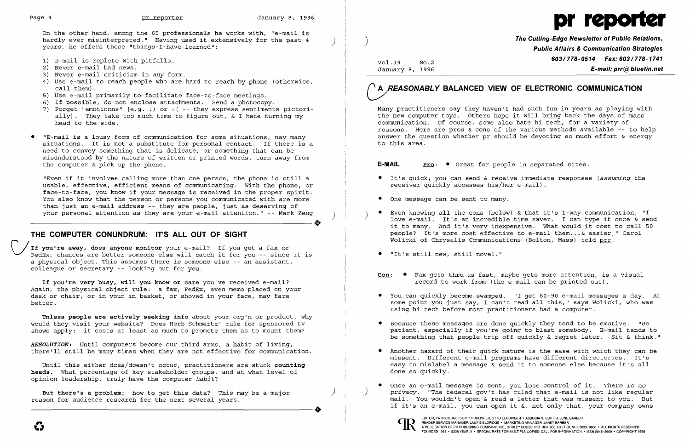On the other hand, among the 65 professionals he works with, "e-mail is hardly ever misinterpreted." Having used it extensively for the past 4 years, he offers these "things-I-have-learned":



The Cutting-Edge Newsletter of Public Relations, Public Affairs & Communication Strategies Vol.39 No.2 **603/778-0514 Fax: 603/778-1741**<br>January 8, 1996 **F-mail: prr @ bluefin.net**  $E$ -mail: prr $@$  bluefin.net

"Even if it involves calling more than one person, the phone is still a usable, effective, efficient means of communicating. with the phone, or face-to-face, you know if your message is received in the proper spirit. You also know that the person or persons you communicated with are more than just an e-mail address -- they are people, just as deserving of your personal attention as they are your e-mail attention." -- Mark Zeug ) than just an e-mail address -- they are people, just as deserving of<br>your personal attention as they are your e-mail attention." -- Mark Zeug<br>THE COMPUTER CONUMERUM: ITIC ALL OUT OF CIOUT

- 1) E-mail is replete with pitfalls.
- 2) Never e-mail bad news.
- 3) Never e-mail criticism in *any* form.
- 4) Use e-mail to reach people who are hard to reach by phone (otherwise, call them).
- 5) Use e-mail primarily to facilitate face-to-face meetings.
- 6) If possible, do not enclose attachments. Send a photocopy.
- 7) Forget "emoticons" [e.g. :) or : ( -- they express sentiments pictorially]. They take too much time to figure out, & I hate turning my head to the side.
- "E-mail is a lousy form of communication for some situations, nay many situations. It is not a substitute for personal contact. If there is a need to convey something that is delicate, or something that can be misunderstood by the nature of written or printed words, turn away from the computer & pick up the phone.

If you're away, does anyone monitor your e-mail? If you get a fax or FedEx, chances are better someone else will catch it for you -- since it is a physical object. This assumes there *is* someone else -- an assistant, colleague or secretary -- looking out for you.

If you're very busy, will you know or care you've received e-mail? Again, the physical object rule: a fax, FedEx, even memo placed on your desk or chair, or in your in basket, or shoved in your face, may fare better.

Until this either does/doesn't occur, practitioners are stuck counting heads. What percentage of key stakeholder groups, and at what level of opinion leadership, *truly* have the computer *habit?* 

But there's a problem: how to get this data? This may be a major )<br>
reason for audience research for the next several years. reason for audience research for the next several years.

# A *REASONABLY* BALANCED VIEW OF ELECTRONIC COMMUNICATION

## **THE COMPUTER CONUNDRUM: IT'S ALL OUT OF SIGHT**

Even knowing all the cons (below) & that it's 1-way communication, "I love e-mail. It's an incredible time saver. I can type it once & send it to many. And it's very inexpensive. What would it cost to call 50 people? It's more cost effective to e-mail them... & easier," Carol

Unless people are actively seeking info about your org'n or product, why would they visit your website? Does Herb Schmertz' rule for sponsored tv shows apply: it costs at least as much to promote them as to mount them?

*RESOLUTION:* Until computers become our third arms, a habit of living, there'll still be many times when they are not effective for communication. Many practitioners say they haven't had such fun in years as playing with the new computer toys. Others hope it will bring back the days of mass communication. Of course, some also hate hi tech, for a variety of reasons. Here are pros & cons of the various methods available -- to help answer the question whether pr should be devoting so much effort & energy to this area.

## **E-MAIL** Pro:  $\bullet$  Great for people in separated sites.

record to work from (tho e-mail can be printed out) .

- • It's quick; you can send & receive immediate responses *(assuming* the receiver quickly accesses his/her e-mail) .
- One message can be sent to many.
- Wolicki of Chrysalis Communications (Bolton, Mass) told prr.
- • "It's still new, still novel."
- $Con:$   $\bullet$  Fax gets thru as fast, maybe gets more attention, is a visual
- using hi tech before most practitioners had a computer.
- 
- done so quickly.
- 



• You can quickly become swamped. "I get 80-90 e-mail messages a day. At some point you just say, I can't read all this," says Wolicki, who was

• Because these messages are done quickly they tend to be emotive. "Be patient, especially if you're going to blast somebody. E-mail tends to be something that people trip off quickly & regret later. Sit & think."

• Another hazard of their quick nature is the ease with which they can be missent. Different e-mail programs have different directories. It's easy to mislabel a message & send it to someone else because it's all

• Once an e-mail message is sent, you lose control of it. *There is* no privacy. "The federal gov't has ruled that e-mail is not like regular mail. You wouldn't open & read a letter that was missent to you. But if it's an e-mail, you can open it &, not only that, your company owns

EDITOR, PATRICK JACKSON· PUBLISHER, OTTO LERBINGER • ASSOCIATE EDITOR, JUNE BARBER